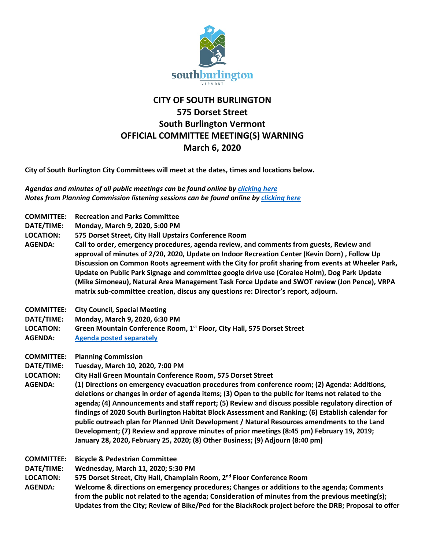

## **CITY OF SOUTH BURLINGTON 575 Dorset Street South Burlington Vermont OFFICIAL COMMITTEE MEETING(S) WARNING March 6, 2020**

**City of South Burlington City Committees will meet at the dates, times and locations below.** 

*Agendas and minutes of all public meetings can be found online b[y clicking here](http://sbvt-records.info/WebLink/?dbid=0&repo=sburl) Notes from Planning Commission listening sessions can be found online by [clicking here](http://sbvt-records.info/WebLink/Browse.aspx?id=92181&dbid=0&repo=sburl)*

| <b>COMMITTEE:</b><br>DATE/TIME:<br><b>LOCATION:</b><br><b>AGENDA:</b> | <b>Recreation and Parks Committee</b><br>Monday, March 9, 2020, 5:00 PM<br>575 Dorset Street, City Hall Upstairs Conference Room<br>Call to order, emergency procedures, agenda review, and comments from guests, Review and<br>approval of minutes of 2/20, 2020, Update on Indoor Recreation Center (Kevin Dorn), Follow Up<br>Discussion on Common Roots agreement with the City for profit sharing from events at Wheeler Park,<br>Update on Public Park Signage and committee google drive use (Coralee Holm), Dog Park Update<br>(Mike Simoneau), Natural Area Management Task Force Update and SWOT review (Jon Pence), VRPA                                                                                                                                                                                                |
|-----------------------------------------------------------------------|------------------------------------------------------------------------------------------------------------------------------------------------------------------------------------------------------------------------------------------------------------------------------------------------------------------------------------------------------------------------------------------------------------------------------------------------------------------------------------------------------------------------------------------------------------------------------------------------------------------------------------------------------------------------------------------------------------------------------------------------------------------------------------------------------------------------------------|
|                                                                       | matrix sub-committee creation, discus any questions re: Director's report, adjourn.                                                                                                                                                                                                                                                                                                                                                                                                                                                                                                                                                                                                                                                                                                                                                |
| <b>COMMITTEE:</b><br>DATE/TIME:<br><b>LOCATION:</b><br><b>AGENDA:</b> | <b>City Council, Special Meeting</b><br>Monday, March 9, 2020, 6:30 PM<br>Green Mountain Conference Room, 1 <sup>st</sup> Floor, City Hall, 575 Dorset Street<br><b>Agenda posted separately</b>                                                                                                                                                                                                                                                                                                                                                                                                                                                                                                                                                                                                                                   |
| <b>COMMITTEE:</b><br>DATE/TIME:<br><b>LOCATION:</b><br><b>AGENDA:</b> | <b>Planning Commission</b><br>Tuesday, March 10, 2020, 7:00 PM<br>City Hall Green Mountain Conference Room, 575 Dorset Street<br>(1) Directions on emergency evacuation procedures from conference room; (2) Agenda: Additions,<br>deletions or changes in order of agenda items; (3) Open to the public for items not related to the<br>agenda; (4) Announcements and staff report; (5) Review and discuss possible regulatory direction of<br>findings of 2020 South Burlington Habitat Block Assessment and Ranking; (6) Establish calendar for<br>public outreach plan for Planned Unit Development / Natural Resources amendments to the Land<br>Development; (7) Review and approve minutes of prior meetings (8:45 pm) February 19, 2019;<br>January 28, 2020, February 25, 2020; (8) Other Business; (9) Adjourn (8:40 pm) |
| <b>COMMITTEE:</b><br>DATE/TIME:<br><b>LOCATION:</b><br><b>AGENDA:</b> | <b>Bicycle &amp; Pedestrian Committee</b><br>Wednesday, March 11, 2020; 5:30 PM<br>575 Dorset Street, City Hall, Champlain Room, 2 <sup>nd</sup> Floor Conference Room<br>Welcome & directions on emergency procedures; Changes or additions to the agenda; Comments<br>from the public not related to the agenda; Consideration of minutes from the previous meeting(s);<br>Updates from the City; Review of Bike/Ped for the BlackRock project before the DRB; Proposal to offer                                                                                                                                                                                                                                                                                                                                                 |